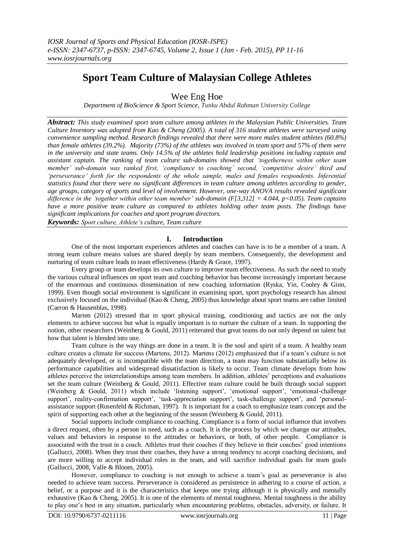# **Sport Team Culture of Malaysian College Athletes**

Wee Eng Hoe

*Department of BioScience & Sport Science, Tunku Abdul Rahman University College*

*Abstract: This study examined sport team culture among athletes in the Malaysian Public Universities. Team Culture Inventory was adopted from Kao & Cheng (2005). A total of 316 student athletes were surveyed using convenience sampling method. Research findings revealed that there were more males student athletes (60.8%) than female athletes (39.2%). Majority (73%) of the athletes was involved in team sport and 57% of them were in the university and state teams. Only 14.5% of the athletes hold leadership positions including captain and assistant captain. The ranking of team culture sub-domains showed that 'togetherness within other team member' sub-domain was ranked first, 'compliance to coaching' second, 'competitive desire' third and 'perseverance' forth for the respondents of the whole sample, males and females respondents. Inferential statistics found that there were no significant differences in team culture among athletes according to gender, age groups, category of sports and level of involvement. However, one-way ANOVA results revealed significant difference in the 'together within other team member' sub-domain (F[3,312] = 4.044, p<0.05). Team captains have a more positive team culture as compared to athletes holding other team posts. The findings have significant implications for coaches and sport program directors.* 

*Keywords: Sport culture, Athlete's culture, Team culture*

# **I. Introduction**

One of the most important experiences athletes and coaches can have is to be a member of a team. A strong team culture means values are shared deeply by team members. Consequently, the development and nurturing of team culture leads to team effectiveness (Hardy & Grace, 1997).

Every group or team develops its own culture to improve team effectiveness. As such the need to study the various cultural influences on sport team and coaching behavior has become increasingly important because of the enormous and continuous dissemination of new coaching information (Ryska, Yin, Cooley & Ginn, 1999). Even though social environment is significant in examining sport, sport psychology research has almost exclusively focused on the individual (Kao & Cheng, 2005) thus knowledge about sport teams are rather limited (Carron & Hausenblas, 1998).

Marten (2012) stressed that in sport physical training, conditioning and tactics are not the only elements to achieve success but what is equally important is to nurture the culture of a team. In supporting the notion, other researchers (Weinberg & Gould, 2011) reiterated that great teams do not only depend on talent but how that talent is blended into one.

Team culture is the way things are done in a team. It is the soul and spirit of a team. A healthy team culture creates a climate for success (Martens, 2012). Martens (2012) emphasized that if a team's culture is not adequately developed, or is incompatible with the team direction, a team may function substantially below its performance capabilities and widespread dissatisfaction is likely to occur. Team climate develops from how athletes perceive the interrelationships among team members. In addition, athletes' perceptions and evaluations set the team culture (Weinberg & Gould, 2011). Effective team culture could be built through social support (Weinberg & Gould, 2011) which include 'listening support', 'emotional support', 'emotional-challenge support', reality-confirmation support', 'task-appreciation support', task-challenge support', and 'personalassistance support (Rosenfeld & Richman, 1997). It is important for a coach to emphasize team concept and the spirit of supporting each other at the beginning of the season (Weinberg & Gould, 2011).

Social supports include compliance to coaching. Compliance is a form of social influence that involves a direct request, often by a person in need, such as a coach. It is the process by which we change our attitudes, values and behaviors in response to the attitudes or behaviors, or both, of other people. Compliance is associated with the trust in a coach. Athletes trust their coaches if they believe in their coaches' good intentions (Gallucci, 2008). When they trust their coaches, they have a strong tendency to accept coaching decisions, and are more willing to accept individual roles in the team, and will sacrifice individual goals for team goals (Gallucci, 2008, Valle & Bloom, 2005).

However, compliance to coaching is not enough to achieve a team's goal as perseverance is also needed to achieve team success. Perseverance is considered as persistence in adhering to a course of action, a belief, or a purpose and it is the characteristics that keeps one trying although it is physically and mentally exhaustive (Kao & Cheng, 2005). It is one of the elements of mental toughness. Mental toughness is the ability to play one's best in any situation, particularly when encountering problems, obstacles, adversity, or failure. It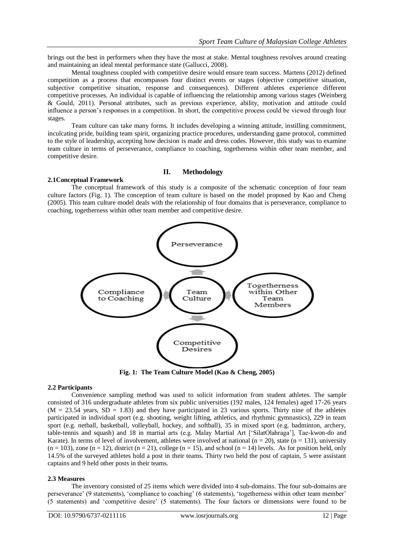brings out the best in performers when they have the most at stake. Mental toughness revolves around creating and maintaining an ideal mental performance state (Gallucci, 2008).

Mental toughness coupled with competitive desire would ensure team success. Martens (2012) defined competition as a process that encompasses four distinct events or stages (objective competitive situation, subjective competitive situation, response and consequences). Different athletes experience different competitive processes. An individual is capable of influencing the relationship among various stages (Weinberg & Gould, 2011). Personal attributes, such as previous experience, ability, motivation and attitude could influence a person's responses in a competition. In short, the competitive process could be viewed through four stages.

Team culture can take many forms. It includes developing a winning attitude, instilling commitment, inculcating pride, building team spirit, organizing practice procedures, understanding game protocol, committed to the style of leadership, accepting how decision is made and dress codes. However, this study was to examine team culture in terms of perseverance, compliance to coaching, togetherness within other team member, and competitive desire.

# **II. Methodology**

#### **2.1Conceptual Framework**

The conceptual framework of this study is a composite of the schematic conception of four team culture factors (Fig. 1). The conception of team culture is based on the model proposed by Kao and Cheng (2005). This team culture model deals with the relationship of four domains that is perseverance, compliance to coaching, togetherness within other team member and competitive desire.



**Fig. 1: The Team Culture Model (Kao & Cheng, 2005)**

#### **2.2 Participants**

Convenience sampling method was used to solicit information from student athletes. The sample consisted of 316 undergraduate athletes from six public universities (192 males, 124 females) aged 17-26 years  $(M = 23.54$  years,  $SD = 1.83$  and they have participated in 23 various sports. Thirty nine of the athletes participated in individual sport (e.g. shooting, weight lifting, athletics, and rhythmic gymnastics), 229 in team sport (e.g. netball, basketball, volleyball, hockey, and softball), 35 in mixed sport (e.g. badminton, archery, table-tennis and squash) and 18 in martial arts (e.g. Malay Martial Art ['SilatOlahraga'], Tae-kwon-do and Karate). In terms of level of involvement, athletes were involved at national ( $n = 20$ ), state ( $n = 131$ ), university  $(n = 103)$ , zone  $(n = 12)$ , district  $(n = 21)$ , college  $(n = 15)$ , and school  $(n = 14)$  levels. As for position held, only 14.5% of the surveyed athletes hold a post in their teams. Thirty two held the post of captain, 5 were assistant captains and 9 held other posts in their teams.

#### **2.3 Measures**

The inventory consisted of 25 items which were divided into 4 sub-domains. The four sub-domains are perseverance' (9 statements), 'compliance to coaching' (6 statements), 'togetherness within other team member' (5 statements) and 'competitive desire' (5 statements). The four factors or dimensions were found to be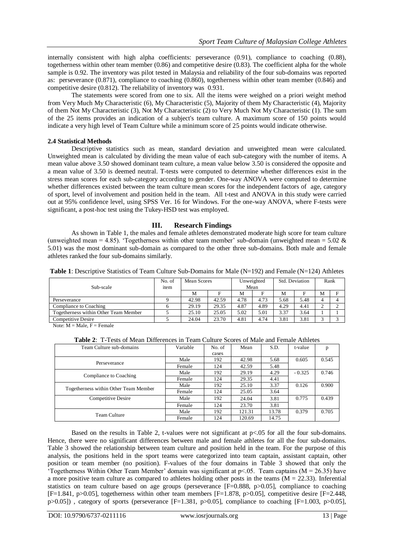internally consistent with high alpha coefficients: perseverance (0.91), compliance to coaching (0.88), togetherness within other team member (0.86) and competitive desire (0.83). The coefficient alpha for the whole sample is 0.92. The inventory was pilot tested in Malaysia and reliability of the four sub-domains was reported as: perseverance (0.871), compliance to coaching (0.860), togetherness within other team member (0.846) and competitive desire (0.812). The reliability of inventory was 0.931.

The statements were scored from one to six. All the items were weighed on a priori weight method from Very Much My Characteristic (6), My Characteristic (5), Majority of them My Characteristic (4), Majority of them Not My Characteristic (3), Not My Characteristic (2) to Very Much Not My Characteristic (1). The sum of the 25 items provides an indication of a subject's team culture. A maximum score of 150 points would indicate a very high level of Team Culture while a minimum score of 25 points would indicate otherwise.

# **2.4 Statistical Methods**

Descriptive statistics such as mean, standard deviation and unweighted mean were calculated. Unweighted mean is calculated by dividing the mean value of each sub-category with the number of items. A mean value above 3.50 showed dominant team culture, a mean value below 3.50 is considered the opposite and a mean value of 3.50 is deemed neutral. T-tests were computed to determine whether differences exist in the stress mean scores for each sub-category according to gender. One-way ANOVA were computed to determine whether differences existed between the team culture mean scores for the independent factors of age, category of sport, level of involvement and position held in the team. All t-test and ANOVA in this study were carried out at 95% confidence level, using SPSS Ver. 16 for Windows. For the one-way ANOVA, where F-tests were significant, a post-hoc test using the Tukey-HSD test was employed.

# **III. Research Findings**

As shown in Table 1, the males and female athletes demonstrated moderate high score for team culture (unweighted mean = 4.85). 'Togetherness within other team member' sub-domain (unweighted mean = 5.02  $\&$ 5.01) was the most dominant sub-domain as compared to the other three sub-domains. Both male and female athletes ranked the four sub-domains similarly.

|  |  | <b>Table 1:</b> Descriptive Statistics of Team Culture Sub-Domains for Male $(N=192)$ and Female $(N=124)$ Athletes |
|--|--|---------------------------------------------------------------------------------------------------------------------|
|--|--|---------------------------------------------------------------------------------------------------------------------|

| Sub-scale                             | No. of<br>item | Unweighted<br>Mean Scores<br>Mean |       |      | Std. Deviation |      | Rank |          |   |
|---------------------------------------|----------------|-----------------------------------|-------|------|----------------|------|------|----------|---|
|                                       |                | М                                 |       | M    |                | M    | F    | M        | E |
| Perseverance                          |                | 42.98                             | 42.59 | 4.78 | 4.73           | 5.68 | 5.48 | $\Delta$ | 4 |
| Compliance to Coaching                |                | 29.19                             | 29.35 | 4.87 | 4.89           | 4.29 | 4.41 |          |   |
| Togetherness within Other Team Member |                | 25.10                             | 25.05 | 5.02 | 5.01           | 3.37 | 3.64 |          |   |
| <b>Competitive Desire</b>             |                | 24.04                             | 23.70 | 4.81 | 4.74           | 3.81 | 3.81 |          |   |

Note:  $M = Male$ ,  $F = Female$ 

**Table 2**: T-Tests of Mean Differences in Team Culture Scores of Male and Female Athletes

| Team Culture sub-domains              | Variable | No. of | Mean   | S.D.  | t-value  | p     |
|---------------------------------------|----------|--------|--------|-------|----------|-------|
|                                       |          | cases  |        |       |          |       |
| Perseverance                          | Male     | 192    | 42.98  | 5.68  | 0.605    | 0.545 |
|                                       | Female   | 124    | 42.59  | 5.48  |          |       |
| Compliance to Coaching                | Male     | 192    | 29.19  | 4.29  | $-0.325$ | 0.746 |
|                                       | Female   | 124    | 29.35  | 4.41  |          |       |
|                                       | Male     | 192    | 25.10  | 3.37  | 0.126    | 0.900 |
| Togetherness within Other Team Member | Female   | 124    | 25.05  | 3.64  |          |       |
| Competitive Desire                    | Male     | 192    | 24.04  | 3.81  | 0.775    | 0.439 |
|                                       | Female   | 124    | 23.70  | 3.81  |          |       |
|                                       | Male     | 192    | 121.31 | 13.78 | 0.379    | 0.705 |
| Team Culture                          | Female   | 124    | 120.69 | 14.75 |          |       |

Based on the results in Table 2, t-values were not significant at p<.05 for all the four sub-domains. Hence, there were no significant differences between male and female athletes for all the four sub-domains. Table 3 showed the relationship between team culture and position held in the team. For the purpose of this analysis, the positions held in the sport teams were categorized into team captain, assistant captain, other position or team member (no position). F-values of the four domains in Table 3 showed that only the Togetherness Within Other Team Member' domain was significant at  $p < 0.05$ . Team captains (M = 26.35) have a more positive team culture as compared to athletes holding other posts in the teams ( $M = 22.33$ ). Inferential statistics on team culture based on age groups (perseverance  $[F=0.888, p>0.05]$ , compliance to coaching  $[F=1.841, p>0.05]$ , togetherness within other team members  $[F=1.878, p>0.05]$ , competitive desire  $[F=2.448, p>0.05]$  $p>0.05$ ]), category of sports (perseverance [F=1.381, p $>0.05$ ], compliance to coaching [F=1.003, p $>0.05$ ],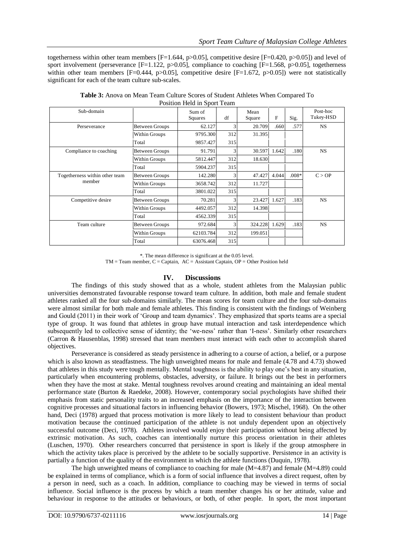togetherness within other team members [F=1.644, p>0.05], competitive desire [F=0.420, p>0.05]) and level of sport involvement (perseverance  $[F=1.122, p>0.05]$ , compliance to coaching  $[F=1.568, p>0.05]$ , togetherness within other team members [F=0.444, p>0.05], competitive desire [F=1.672, p>0.05]) were not statistically significant for each of the team culture sub-scales.

| I controll Tick in opone Fealing         |                       |                   |     |                |       |         |                       |  |
|------------------------------------------|-----------------------|-------------------|-----|----------------|-------|---------|-----------------------|--|
| Sub-domain                               |                       | Sum of<br>Squares | df  | Mean<br>Square | F     | Sig.    | Post-hoc<br>Tukey-HSD |  |
| Perseverance                             | Between Groups        | 62.127            | 3   | 20.709         | .660  | .577    | <b>NS</b>             |  |
|                                          | Within Groups         | 9795.300          | 312 | 31.395         |       |         |                       |  |
|                                          | Total                 | 9857.427          | 315 |                |       |         |                       |  |
| Compliance to coaching                   | Between Groups        | 91.791            | 3   | 30.597         | 1.642 | .180    | <b>NS</b>             |  |
|                                          | Within Groups         | 5812.447          | 312 | 18.630         |       |         |                       |  |
|                                          | Total                 | 5904.237          | 315 |                |       |         |                       |  |
| Togetherness within other team<br>member | Between Groups        | 142.280           | 3   | 47.427         | 4.044 | $.008*$ | C > OP                |  |
|                                          | Within Groups         | 3658.742          | 312 | 11.727         |       |         |                       |  |
|                                          | Total                 | 3801.022          | 315 |                |       |         |                       |  |
| Competitive desire                       | Between Groups        | 70.281            | 3   | 23.427         | 1.627 | .183    | <b>NS</b>             |  |
|                                          | Within Groups         | 4492.057          | 312 | 14.398         |       |         |                       |  |
|                                          | Total                 | 4562.339          | 315 |                |       |         |                       |  |
| Team culture                             | <b>Between Groups</b> | 972.684           | 3   | 324.228        | 1.629 | .183    | <b>NS</b>             |  |
|                                          | Within Groups         | 62103.784         | 312 | 199.051        |       |         |                       |  |
|                                          | Total                 | 63076.468         | 315 |                |       |         |                       |  |

**Table 3:** Anova on Mean Team Culture Scores of Student Athletes When Compared To Position Held in Sport Team

\*. The mean difference is significant at the 0.05 level.  $TM = Team$  member,  $C = Captain$ ,  $AC = Assistant Captain$ ,  $OP = Other Position held$ 

#### **IV. Discussions**

The findings of this study showed that as a whole, student athletes from the Malaysian public universities demonstrated favourable response toward team culture. In addition, both male and female student athletes ranked all the four sub-domains similarly. The mean scores for team culture and the four sub-domains were almost similar for both male and female athletes. This finding is consistent with the findings of Weinberg and Gould (2011) in their work of 'Group and team dynamics'. They emphasized that sports teams are a special type of group. It was found that athletes in group have mutual interaction and task interdependence which subsequently led to collective sense of identity; the 'we-ness' rather than 'I-ness'. Similarly other researchers (Carron & Hausenblas, 1998) stressed that team members must interact with each other to accomplish shared objectives.

Perseverance is considered as steady persistence in adhering to a course of action, a belief, or a purpose which is also known as steadfastness. The high unweighted means for male and female (4.78 and 4.73) showed that athletes in this study were tough mentally. Mental toughness is the ability to play one's best in any situation, particularly when encountering problems, obstacles, adversity, or failure. It brings out the best in performers when they have the most at stake. Mental toughness revolves around creating and maintaining an ideal mental performance state (Burton & Raedeke, 2008). However, contemporary social psychologists have shifted their emphasis from static personality traits to an increased emphasis on the importance of the interaction between cognitive processes and situational factors in influencing behavior (Bowers, 1973; Mischel, 1968). On the other hand, Deci (1978) argued that process motivation is more likely to lead to consistent behaviour than product motivation because the continued participation of the athlete is not unduly dependent upon an objectively successful outcome (Deci, 1978). Athletes involved would enjoy their participation without being affected by extrinsic motivation. As such, coaches can intentionally nurture this process orientation in their athletes (Luschen, 1970). Other researchers concurred that persistence in sport is likely if the group atmosphere in which the activity takes place is perceived by the athlete to be socially supportive. Persistence in an activity is partially a function of the quality of the environment in which the athlete functions (Duquin, 1978).

The high unweighted means of compliance to coaching for male (M=4.87) and female (M=4.89) could be explained in terms of compliance, which is a form of social influence that involves a direct request, often by a person in need, such as a coach. In addition, compliance to coaching may be viewed in terms of social influence. Social influence is the process by which a team member changes his or her attitude, value and behaviour in response to the attitudes or behaviours, or both, of other people. In sport, the most important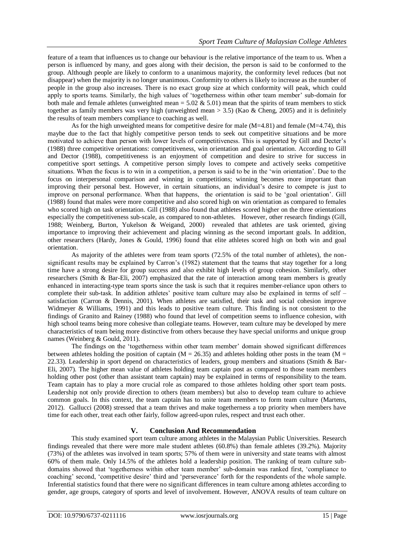feature of a team that influences us to change our behaviour is the relative importance of the team to us. When a person is influenced by many, and goes along with their decision, the person is said to be conformed to the group. Although people are likely to conform to a unanimous majority, the conformity level reduces (but not disappear) when the majority is no longer unanimous. Conformity to others is likely to increase as the number of people in the group also increases. There is no exact group size at which conformity will peak, which could apply to sports teams. Similarly, the high values of 'togetherness within other team member' sub-domain for both male and female athletes (unweighted mean =  $5.02 \& 5.01$ ) mean that the spirits of team members to stick together as family members was very high (unweighted mean > 3.5) (Kao & Cheng, 2005) and it is definitely the results of team members compliance to coaching as well.

As for the high unweighted means for competitive desire for male (M=4.81) and female (M=4.74), this maybe due to the fact that highly competitive person tends to seek out competitive situations and be more motivated to achieve than person with lower levels of competitiveness. This is supported by Gill and Decter's (1988) three competitive orientations: competitiveness, win orientation and goal orientation. According to Gill and Dector (1988), competitiveness is an enjoyment of competition and desire to strive for success in competitive sport settings. A competitive person simply loves to compete and actively seeks competitive situations. When the focus is to win in a competition, a person is said to be in the 'win orientation'. Due to the focus on interpersonal comparison and winning in competitions; winning becomes more important than improving their personal best. However, in certain situations, an individual's desire to compete is just to improve on personal performance. When that happens, the orientation is said to be 'goal orientation'. Gill (1988) found that males were more competitive and also scored high on win orientation as compared to females who scored high on task orientation. Gill (1988) also found that athletes scored higher on the three orientations especially the competitiveness sub-scale, as compared to non-athletes. However, other research findings (Gill, 1988; Weinberg, Burton, Yukelson & Weigand, 2000) revealed that athletes are task oriented, giving importance to improving their achievement and placing winning as the second important goals. In addition, other researchers (Hardy, Jones & Gould, 1996) found that elite athletes scored high on both win and goal orientation.

As majority of the athletes were from team sports (72.5% of the total number of athletes), the nonsignificant results may be explained by Carron's (1982) statement that the teams that stay together for a long time have a strong desire for group success and also exhibit high levels of group cohesion. Similarly, other researchers (Smith & Bar-Eli, 2007) emphasized that the rate of interaction among team members is greatly enhanced in interacting-type team sports since the task is such that it requires member-reliance upon others to complete their sub-task. In addition athletes' positive team culture may also be explained in terms of self – satisfaction (Carron & Dennis, 2001). When athletes are satisfied, their task and social cohesion improve Widmeyer & Williams, 1991) and this leads to positive team culture. This finding is not consistent to the findings of Granito and Rainey (1988) who found that level of competition seems to influence cohesion, with high school teams being more cohesive than collegiate teams. However, team culture may be developed by mere characteristics of team being more distinctive from others because they have special uniforms and unique group names (Weinberg & Gould, 2011).

The findings on the 'togetherness within other team member' domain showed significant differences between athletes holding the position of captain ( $M = 26.35$ ) and athletes holding other posts in the team ( $M =$ 22.33). Leadership in sport depend on characteristics of leaders, group members and situations (Smith & Bar-Eli, 2007). The higher mean value of athletes holding team captain post as compared to those team members holding other post (other than assistant team captain) may be explained in terms of responsibility to the team. Team captain has to play a more crucial role as compared to those athletes holding other sport team posts. Leadership not only provide direction to others (team members) but also to develop team culture to achieve common goals. In this context, the team captain has to unite team members to form team culture (Martens, 2012). Gallucci (2008) stressed that a team thrives and make togetherness a top priority when members have time for each other, treat each other fairly, follow agreed-upon rules, respect and trust each other.

# **V. Conclusion And Recommendation**

This study examined sport team culture among athletes in the Malaysian Public Universities. Research findings revealed that there were more male student athletes (60.8%) than female athletes (39.2%). Majority (73%) of the athletes was involved in team sports; 57% of them were in university and state teams with almost 60% of them male. Only 14.5% of the athletes hold a leadership position. The ranking of team culture subdomains showed that 'togetherness within other team member' sub-domain was ranked first, 'compliance to coaching' second, 'competitive desire' third and 'perseverance' forth for the respondents of the whole sample. Inferential statistics found that there were no significant differences in team culture among athletes according to gender, age groups, category of sports and level of involvement. However, ANOVA results of team culture on